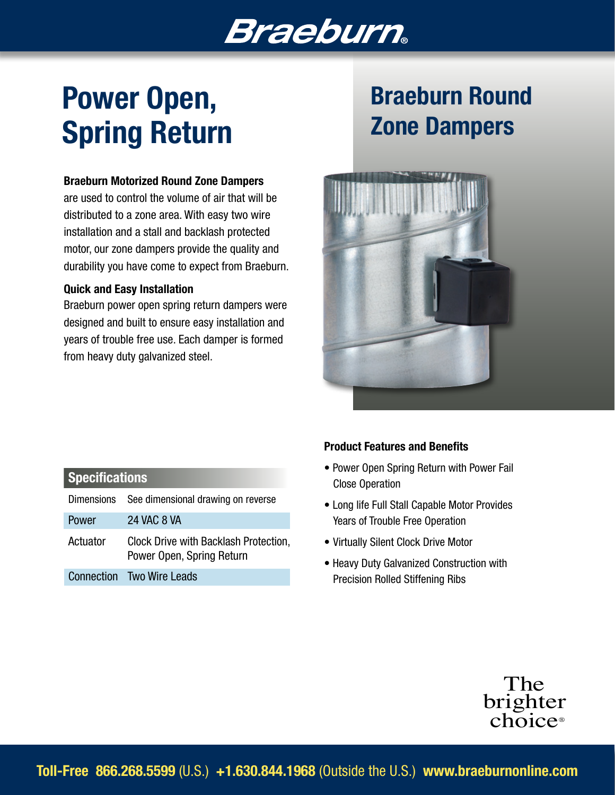# **Braeburn**

# Power Open, Spring Return

#### Braeburn Motorized Round Zone Dampers

are used to control the volume of air that will be distributed to a zone area. With easy two wire installation and a stall and backlash protected motor, our zone dampers provide the quality and durability you have come to expect from Braeburn.

#### Quick and Easy Installation

Braeburn power open spring return dampers were designed and built to ensure easy installation and years of trouble free use. Each damper is formed from heavy duty galvanized steel.

# Braeburn Round Zone Dampers



### **Specifications**

|          | Dimensions See dimensional drawing on reverse                      |
|----------|--------------------------------------------------------------------|
| Power    | <b>24 VAC 8 VA</b>                                                 |
| Actuator | Clock Drive with Backlash Protection,<br>Power Open, Spring Return |
|          | <b>Connection</b> Two Wire Leads                                   |

#### Product Features and Benefits

- Power Open Spring Return with Power Fail Close Operation
- Long life Full Stall Capable Motor Provides Years of Trouble Free Operation
- Virtually Silent Clock Drive Motor
- Heavy Duty Galvanized Construction with Precision Rolled Stiffening Ribs